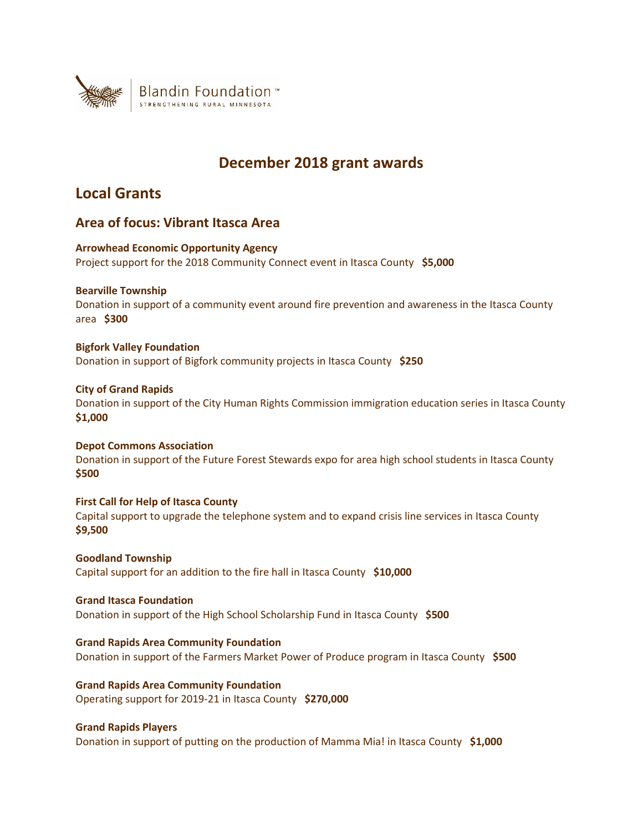

# **December 2018 grant awards**

# **Local Grants**

# **Area of focus: Vibrant Itasca Area**

**Arrowhead Economic Opportunity Agency** Project support for the 2018 Community Connect event in Itasca County **\$5,000**

**Bearville Township**

Donation in support of a community event around fire prevention and awareness in the Itasca County area **\$300**

# **Bigfork Valley Foundation**

Donation in support of Bigfork community projects in Itasca County **\$250**

# **City of Grand Rapids**

Donation in support of the City Human Rights Commission immigration education series in Itasca County **\$1,000**

**Depot Commons Association** Donation in support of the Future Forest Stewards expo for area high school students in Itasca County **\$500**

**First Call for Help of Itasca County** Capital support to upgrade the telephone system and to expand crisis line services in Itasca County **\$9,500**

**Goodland Township** Capital support for an addition to the fire hall in Itasca County **\$10,000**

**Grand Itasca Foundation** Donation in support of the High School Scholarship Fund in Itasca County **\$500**

**Grand Rapids Area Community Foundation** Donation in support of the Farmers Market Power of Produce program in Itasca County **\$500**

**Grand Rapids Area Community Foundation** Operating support for 2019-21 in Itasca County **\$270,000**

# **Grand Rapids Players**

Donation in support of putting on the production of Mamma Mia! in Itasca County **\$1,000**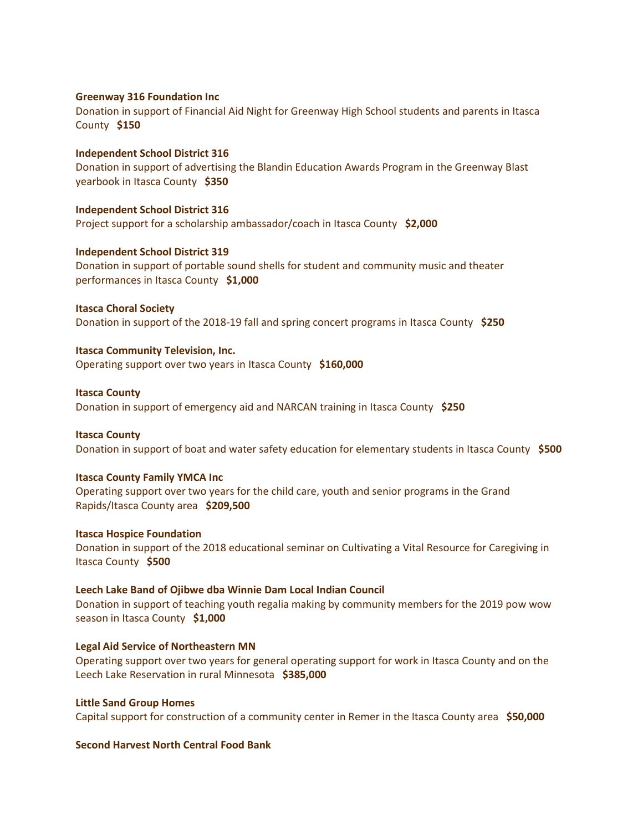# **Greenway 316 Foundation Inc**

Donation in support of Financial Aid Night for Greenway High School students and parents in Itasca County **\$150**

# **Independent School District 316**

Donation in support of advertising the Blandin Education Awards Program in the Greenway Blast yearbook in Itasca County **\$350**

### **Independent School District 316**

Project support for a scholarship ambassador/coach in Itasca County **\$2,000**

### **Independent School District 319**

Donation in support of portable sound shells for student and community music and theater performances in Itasca County **\$1,000**

**Itasca Choral Society** Donation in support of the 2018-19 fall and spring concert programs in Itasca County **\$250**

### **Itasca Community Television, Inc.**

Operating support over two years in Itasca County **\$160,000**

### **Itasca County**

Donation in support of emergency aid and NARCAN training in Itasca County **\$250**

#### **Itasca County**

Donation in support of boat and water safety education for elementary students in Itasca County **\$500**

## **Itasca County Family YMCA Inc**

Operating support over two years for the child care, youth and senior programs in the Grand Rapids/Itasca County area **\$209,500**

#### **Itasca Hospice Foundation**

Donation in support of the 2018 educational seminar on Cultivating a Vital Resource for Caregiving in Itasca County **\$500**

#### **Leech Lake Band of Ojibwe dba Winnie Dam Local Indian Council**

Donation in support of teaching youth regalia making by community members for the 2019 pow wow season in Itasca County **\$1,000**

# **Legal Aid Service of Northeastern MN**

Operating support over two years for general operating support for work in Itasca County and on the Leech Lake Reservation in rural Minnesota **\$385,000**

### **Little Sand Group Homes**

Capital support for construction of a community center in Remer in the Itasca County area **\$50,000**

## **Second Harvest North Central Food Bank**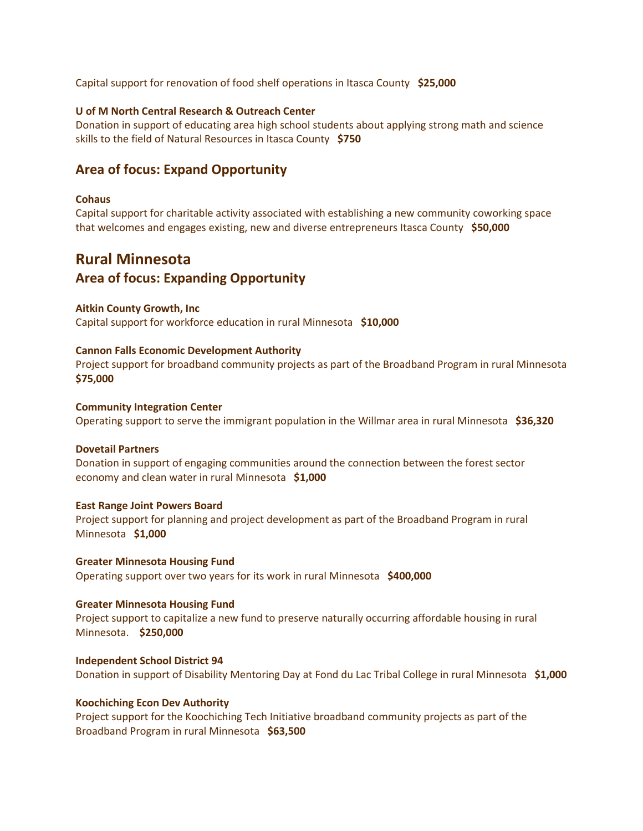Capital support for renovation of food shelf operations in Itasca County **\$25,000**

# **U of M North Central Research & Outreach Center**

Donation in support of educating area high school students about applying strong math and science skills to the field of Natural Resources in Itasca County **\$750**

# **Area of focus: Expand Opportunity**

### **Cohaus**

Capital support for charitable activity associated with establishing a new community coworking space that welcomes and engages existing, new and diverse entrepreneurs Itasca County **\$50,000**

# **Rural Minnesota Area of focus: Expanding Opportunity**

## **Aitkin County Growth, Inc**

Capital support for workforce education in rural Minnesota **\$10,000**

### **Cannon Falls Economic Development Authority**

Project support for broadband community projects as part of the Broadband Program in rural Minnesota **\$75,000**

#### **Community Integration Center**

Operating support to serve the immigrant population in the Willmar area in rural Minnesota **\$36,320**

### **Dovetail Partners**

Donation in support of engaging communities around the connection between the forest sector economy and clean water in rural Minnesota **\$1,000**

#### **East Range Joint Powers Board**

Project support for planning and project development as part of the Broadband Program in rural Minnesota **\$1,000**

# **Greater Minnesota Housing Fund** Operating support over two years for its work in rural Minnesota **\$400,000**

#### **Greater Minnesota Housing Fund**

Project support to capitalize a new fund to preserve naturally occurring affordable housing in rural Minnesota. **\$250,000**

**Independent School District 94** Donation in support of Disability Mentoring Day at Fond du Lac Tribal College in rural Minnesota **\$1,000**

### **Koochiching Econ Dev Authority**

Project support for the Koochiching Tech Initiative broadband community projects as part of the Broadband Program in rural Minnesota **\$63,500**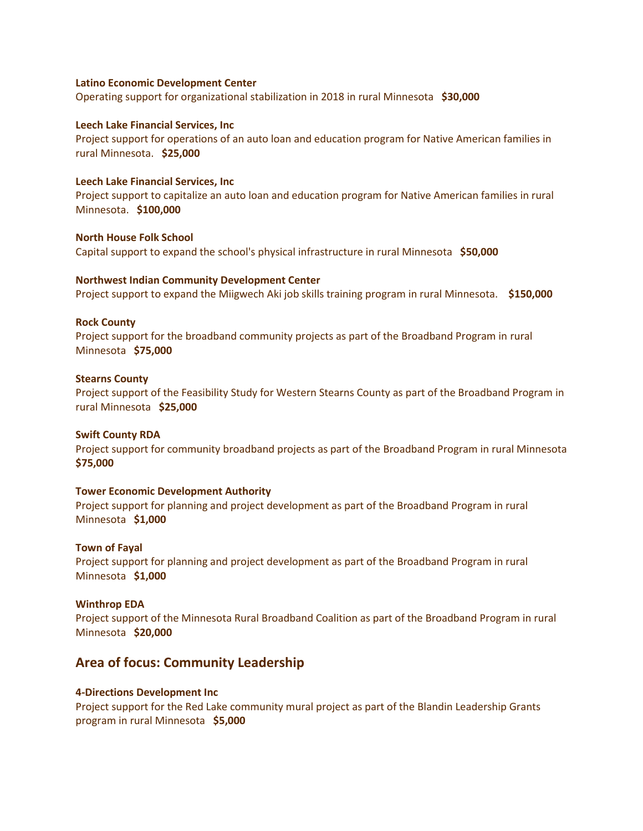## **Latino Economic Development Center**

Operating support for organizational stabilization in 2018 in rural Minnesota **\$30,000**

### **Leech Lake Financial Services, Inc**

Project support for operations of an auto loan and education program for Native American families in rural Minnesota. **\$25,000**

### **Leech Lake Financial Services, Inc**

Project support to capitalize an auto loan and education program for Native American families in rural Minnesota. **\$100,000**

**North House Folk School** Capital support to expand the school's physical infrastructure in rural Minnesota **\$50,000**

### **Northwest Indian Community Development Center**

Project support to expand the Miigwech Aki job skills training program in rural Minnesota. **\$150,000**

### **Rock County**

Project support for the broadband community projects as part of the Broadband Program in rural Minnesota **\$75,000**

### **Stearns County**

Project support of the Feasibility Study for Western Stearns County as part of the Broadband Program in rural Minnesota **\$25,000**

### **Swift County RDA**

Project support for community broadband projects as part of the Broadband Program in rural Minnesota **\$75,000**

# **Tower Economic Development Authority**

Project support for planning and project development as part of the Broadband Program in rural Minnesota **\$1,000**

#### **Town of Fayal**

Project support for planning and project development as part of the Broadband Program in rural Minnesota **\$1,000**

#### **Winthrop EDA**

Project support of the Minnesota Rural Broadband Coalition as part of the Broadband Program in rural Minnesota **\$20,000**

# **Area of focus: Community Leadership**

## **4-Directions Development Inc**

Project support for the Red Lake community mural project as part of the Blandin Leadership Grants program in rural Minnesota **\$5,000**